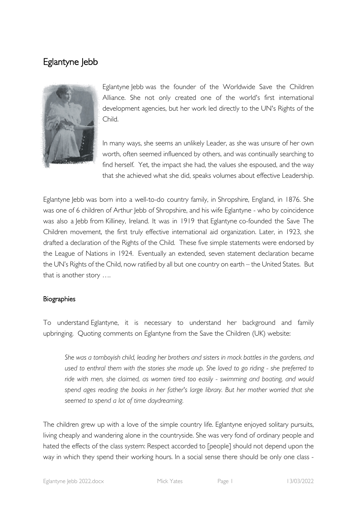# Eglantyne Jebb



Eglantyne Jebb was the founder of the Worldwide Save the Children Alliance. She not only created one of the world's first international development agencies, but her work led directly to the UN's Rights of the Child.

In many ways, she seems an unlikely Leader, as she was unsure of her own worth, often seemed influenced by others, and was continually searching to find herself. Yet, the impact she had, the values she espoused, and the way that she achieved what she did, speaks volumes about effective Leadership.

Eglantyne Jebb was born into a well-to-do country family, in Shropshire, England, in 1876. She was one of 6 children of Arthur Jebb of Shropshire, and his wife Eglantyne - who by coincidence was also a Jebb from Killiney, Ireland. It was in 1919 that Eglantyne co-founded the Save The Children movement, the first truly effective international aid organization. Later, in 1923, she drafted a declaration of the Rights of the Child. These five simple statements were endorsed by the League of Nations in 1924. Eventually an extended, seven statement declaration became the UN's Rights of the Child, now ratified by all but one country on earth – the United States. But that is another story ….

## **Biographies**

To understand Eglantyne, it is necessary to understand her background and family upbringing. Quoting comments on Eglantyne from the Save the Children (UK) website:

*She was a tomboyish child, leading her brothers and sisters in mock battles in the gardens, and used to enthral them with the stories she made up. She loved to go riding - she preferred to ride with men, she claimed, as women tired too easily - swimming and boating, and would spend ages reading the books in her father's large library. But her mother worried that she seemed to spend a lot of time daydreaming.*

The children grew up with a love of the simple country life. Eglantyne enjoyed solitary pursuits, living cheaply and wandering alone in the countryside. She was very fond of ordinary people and hated the effects of the class system: Respect accorded to [people] should not depend upon the way in which they spend their working hours. In a social sense there should be only one class -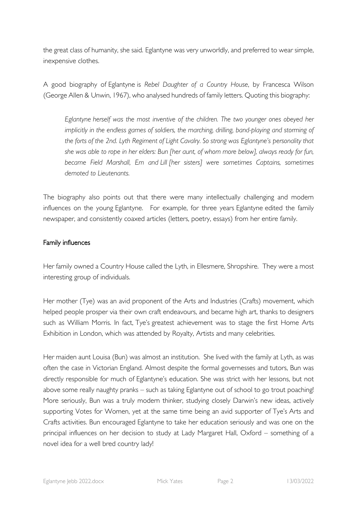the great class of humanity, she said. Eglantyne was very unworldly, and preferred to wear simple, inexpensive clothes.

A good biography of Eglantyne is *Rebel Daughter of a Country House*, by Francesca Wilson (George Allen & Unwin, 1967), who analysed hundreds of family letters. Quoting this biography:

*Eglantyne herself was the most inventive of the children. The two younger ones obeyed her implicitly in the endless games of soldiers, the marching, drilling, band-playing and storming of the forts of the 2nd. Lyth Regiment of Light Cavalry. So strong was Eglantyne's personality that she was able to rope in her elders: Bun [her aunt, of whom more below], always ready for fun, became Field Marshall, Em and Lill [her sisters] were sometimes Captains, sometimes demoted to Lieutenants.*

The biography also points out that there were many intellectually challenging and modern influences on the young Eglantyne. For example, for three years Eglantyne edited the family newspaper, and consistently coaxed articles (letters, poetry, essays) from her entire family.

## Family influences

Her family owned a Country House called the Lyth, in Ellesmere, Shropshire. They were a most interesting group of individuals.

Her mother (Tye) was an avid proponent of the Arts and Industries (Crafts) movement, which helped people prosper via their own craft endeavours, and became high art, thanks to designers such as William Morris. In fact, Tye's greatest achievement was to stage the first Home Arts Exhibition in London, which was attended by Royalty, Artists and many celebrities.

Her maiden aunt Louisa (Bun) was almost an institution. She lived with the family at Lyth, as was often the case in Victorian England. Almost despite the formal governesses and tutors, Bun was directly responsible for much of Eglantyne's education. She was strict with her lessons, but not above some really naughty pranks – such as taking Eglantyne out of school to go trout poaching! More seriously, Bun was a truly modern thinker, studying closely Darwin's new ideas, actively supporting Votes for Women, yet at the same time being an avid supporter of Tye's Arts and Crafts activities. Bun encouraged Eglantyne to take her education seriously and was one on the principal influences on her decision to study at Lady Margaret Hall, Oxford – something of a novel idea for a well bred country lady!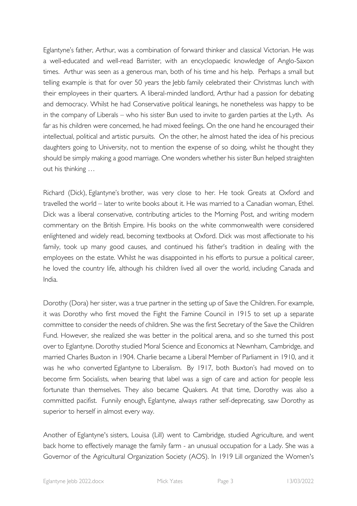Eglantyne's father, Arthur, was a combination of forward thinker and classical Victorian. He was a well-educated and well-read Barrister, with an encyclopaedic knowledge of Anglo-Saxon times. Arthur was seen as a generous man, both of his time and his help. Perhaps a small but telling example is that for over 50 years the lebb family celebrated their Christmas lunch with their employees in their quarters. A liberal-minded landlord, Arthur had a passion for debating and democracy. Whilst he had Conservative political leanings, he nonetheless was happy to be in the company of Liberals – who his sister Bun used to invite to garden parties at the Lyth. As far as his children were concerned, he had mixed feelings. On the one hand he encouraged their intellectual, political and artistic pursuits. On the other, he almost hated the idea of his precious daughters going to University, not to mention the expense of so doing, whilst he thought they should be simply making a good marriage. One wonders whether his sister Bun helped straighten out his thinking …

Richard (Dick), Eglantyne's brother, was very close to her. He took Greats at Oxford and travelled the world – later to write books about it. He was married to a Canadian woman, Ethel. Dick was a liberal conservative, contributing articles to the Morning Post, and writing modern commentary on the British Empire. His books on the white commonwealth were considered enlightened and widely read, becoming textbooks at Oxford. Dick was most affectionate to his family, took up many good causes, and continued his father's tradition in dealing with the employees on the estate. Whilst he was disappointed in his efforts to pursue a political career, he loved the country life, although his children lived all over the world, including Canada and India.

Dorothy (Dora) her sister, was a true partner in the setting up of Save the Children. For example, it was Dorothy who first moved the Fight the Famine Council in 1915 to set up a separate committee to consider the needs of children. She was the first Secretary of the Save the Children Fund. However, she realized she was better in the political arena, and so she turned this post over to Eglantyne. Dorothy studied Moral Science and Economics at Newnham, Cambridge, and married Charles Buxton in 1904. Charlie became a Liberal Member of Parliament in 1910, and it was he who converted Eglantyne to Liberalism. By 1917, both Buxton's had moved on to become firm Socialists, when bearing that label was a sign of care and action for people less fortunate than themselves. They also became Quakers. At that time, Dorothy was also a committed pacifist. Funnily enough, Eglantyne, always rather self-deprecating, saw Dorothy as superior to herself in almost every way.

Another of Eglantyne's sisters, Louisa (Lill) went to Cambridge, studied Agriculture, and went back home to effectively manage the family farm - an unusual occupation for a Lady. She was a Governor of the Agricultural Organization Society (AOS). In 1919 Lill organized the Women's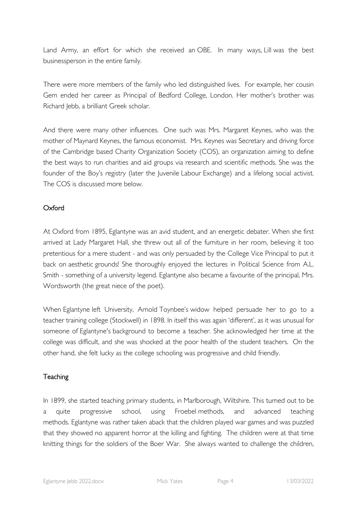Land Army, an effort for which she received an OBE. In many ways, Lill was the best businessperson in the entire family.

There were more members of the family who led distinguished lives. For example, her cousin Gem ended her career as Principal of Bedford College, London. Her mother's brother was Richard Jebb, a brilliant Greek scholar.

And there were many other influences. One such was Mrs. Margaret Keynes, who was the mother of Maynard Keynes, the famous economist. Mrs. Keynes was Secretary and driving force of the Cambridge based Charity Organization Society (COS), an organization aiming to define the best ways to run charities and aid groups via research and scientific methods. She was the founder of the Boy's registry (later the Juvenile Labour Exchange) and a lifelong social activist. The COS is discussed more below.

# Oxford

At Oxford from 1895, Eglantyne was an avid student, and an energetic debater. When she first arrived at Lady Margaret Hall, she threw out all of the furniture in her room, believing it too pretentious for a mere student - and was only persuaded by the College Vice Principal to put it back on aesthetic grounds! She thoroughly enjoyed the lectures in Political Science from A.L. Smith - something of a university legend. Eglantyne also became a favourite of the principal, Mrs. Wordsworth (the great niece of the poet).

When Eglantyne left University, Arnold Toynbee's widow helped persuade her to go to a teacher training college (Stockwell) in 1898. In itself this was again 'different', as it was unusual for someone of Eglantyne's background to become a teacher. She acknowledged her time at the college was difficult, and she was shocked at the poor health of the student teachers. On the other hand, she felt lucky as the college schooling was progressive and child friendly.

# **Teaching**

In 1899, she started teaching primary students, in Marlborough, Wiltshire. This turned out to be a quite progressive school, using Froebel methods, and advanced teaching methods. Eglantyne was rather taken aback that the children played war games and was puzzled that they showed no apparent horror at the killing and fighting. The children were at that time knitting things for the soldiers of the Boer War. She always wanted to challenge the children,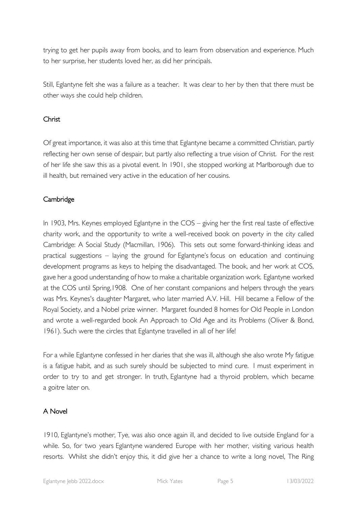trying to get her pupils away from books, and to learn from observation and experience. Much to her surprise, her students loved her, as did her principals.

Still, Eglantyne felt she was a failure as a teacher. It was clear to her by then that there must be other ways she could help children.

# Christ

Of great importance, it was also at this time that Eglantyne became a committed Christian, partly reflecting her own sense of despair, but partly also reflecting a true vision of Christ. For the rest of her life she saw this as a pivotal event. In 1901, she stopped working at Marlborough due to ill health, but remained very active in the education of her cousins.

# **Cambridge**

In 1903, Mrs. Keynes employed Eglantyne in the COS – giving her the first real taste of effective charity work, and the opportunity to write a well-received book on poverty in the city called Cambridge: A Social Study (Macmillan, 1906). This sets out some forward-thinking ideas and practical suggestions – laying the ground for Eglantyne's focus on education and continuing development programs as keys to helping the disadvantaged. The book, and her work at COS, gave her a good understanding of how to make a charitable organization work. Eglantyne worked at the COS until Spring,1908. One of her constant companions and helpers through the years was Mrs. Keynes's daughter Margaret, who later married A.V. Hill. Hill became a Fellow of the Royal Society, and a Nobel prize winner. Margaret founded 8 homes for Old People in London and wrote a well-regarded book An Approach to Old Age and its Problems (Oliver & Bond, 1961). Such were the circles that Eglantyne travelled in all of her life!

For a while Eglantyne confessed in her diaries that she was ill, although she also wrote My fatigue is a fatigue habit, and as such surely should be subjected to mind cure. I must experiment in order to try to and get stronger. In truth, Eglantyne had a thyroid problem, which became a goitre later on.

# A Novel

1910, Eglantyne's mother, Tye, was also once again ill, and decided to live outside England for a while. So, for two years Eglantyne wandered Europe with her mother, visiting various health resorts. Whilst she didn't enjoy this, it did give her a chance to write a long novel, The Ring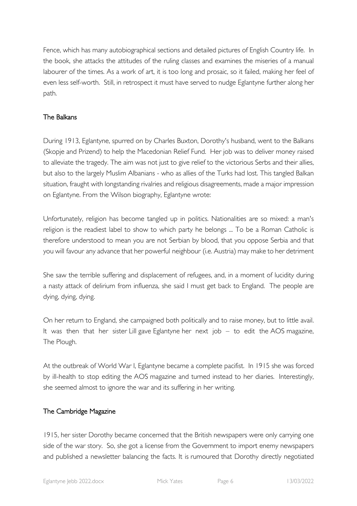Fence, which has many autobiographical sections and detailed pictures of English Country life. In the book, she attacks the attitudes of the ruling classes and examines the miseries of a manual labourer of the times. As a work of art, it is too long and prosaic, so it failed, making her feel of even less self-worth. Still, in retrospect it must have served to nudge Eglantyne further along her path.

# The Balkans

During 1913, Eglantyne, spurred on by Charles Buxton, Dorothy's husband, went to the Balkans (Skopje and Prizend) to help the Macedonian Relief Fund. Her job was to deliver money raised to alleviate the tragedy. The aim was not just to give relief to the victorious Serbs and their allies, but also to the largely Muslim Albanians - who as allies of the Turks had lost. This tangled Balkan situation, fraught with longstanding rivalries and religious disagreements, made a major impression on Eglantyne. From the Wilson biography, Eglantyne wrote:

Unfortunately, religion has become tangled up in politics. Nationalities are so mixed: a man's religion is the readiest label to show to which party he belongs ... To be a Roman Catholic is therefore understood to mean you are not Serbian by blood, that you oppose Serbia and that you will favour any advance that her powerful neighbour (i.e. Austria) may make to her detriment

She saw the terrible suffering and displacement of refugees, and, in a moment of lucidity during a nasty attack of delirium from influenza, she said I must get back to England. The people are dying, dying, dying.

On her return to England, she campaigned both politically and to raise money, but to little avail. It was then that her sister Lill gave Eglantyne her next job  $-$  to edit the AOS magazine, The Plough.

At the outbreak of World War I, Eglantyne became a complete pacifist. In 1915 she was forced by ill-health to stop editing the AOS magazine and turned instead to her diaries. Interestingly, she seemed almost to ignore the war and its suffering in her writing.

# The Cambridge Magazine

1915, her sister Dorothy became concerned that the British newspapers were only carrying one side of the war story. So, she got a license from the Government to import enemy newspapers and published a newsletter balancing the facts. It is rumoured that Dorothy directly negotiated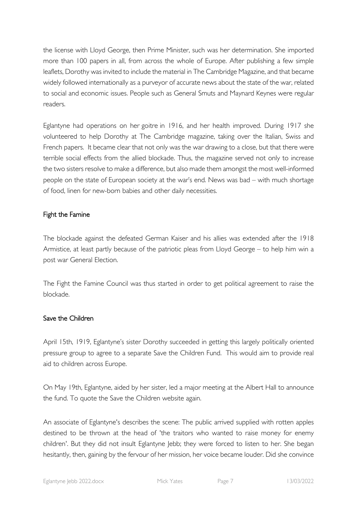the license with Lloyd George, then Prime Minister, such was her determination. She imported more than 100 papers in all, from across the whole of Europe. After publishing a few simple leaflets, Dorothy was invited to include the material in The Cambridge Magazine, and that became widely followed internationally as a purveyor of accurate news about the state of the war, related to social and economic issues. People such as General Smuts and Maynard Keynes were regular readers.

Eglantyne had operations on her goitre in 1916, and her health improved. During 1917 she volunteered to help Dorothy at The Cambridge magazine, taking over the Italian, Swiss and French papers. It became clear that not only was the war drawing to a close, but that there were terrible social effects from the allied blockade. Thus, the magazine served not only to increase the two sisters resolve to make a difference, but also made them amongst the most well-informed people on the state of European society at the war's end. News was bad – with much shortage of food, linen for new-born babies and other daily necessities.

## Fight the Famine

The blockade against the defeated German Kaiser and his allies was extended after the 1918 Armistice, at least partly because of the patriotic pleas from Lloyd George – to help him win a post war General Election.

The Fight the Famine Council was thus started in order to get political agreement to raise the blockade.

## Save the Children

April 15th, 1919, Eglantyne's sister Dorothy succeeded in getting this largely politically oriented pressure group to agree to a separate Save the Children Fund. This would aim to provide real aid to children across Europe.

On May 19th, Eglantyne, aided by her sister, led a major meeting at the Albert Hall to announce the fund. To quote the Save the Children website again.

An associate of Eglantyne's describes the scene: The public arrived supplied with rotten apples destined to be thrown at the head of 'the traitors who wanted to raise money for enemy children'. But they did not insult Eglantyne Jebb; they were forced to listen to her. She began hesitantly, then, gaining by the fervour of her mission, her voice became louder. Did she convince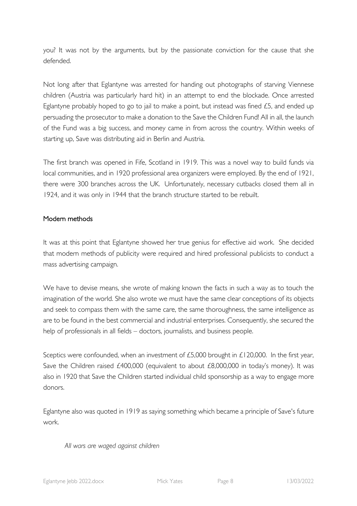you? It was not by the arguments, but by the passionate conviction for the cause that she defended.

Not long after that Eglantyne was arrested for handing out photographs of starving Viennese children (Austria was particularly hard hit) in an attempt to end the blockade. Once arrested Eglantyne probably hoped to go to jail to make a point, but instead was fined £5, and ended up persuading the prosecutor to make a donation to the Save the Children Fund! All in all, the launch of the Fund was a big success, and money came in from across the country. Within weeks of starting up, Save was distributing aid in Berlin and Austria.

The first branch was opened in Fife, Scotland in 1919. This was a novel way to build funds via local communities, and in 1920 professional area organizers were employed. By the end of 1921, there were 300 branches across the UK. Unfortunately, necessary cutbacks closed them all in 1924, and it was only in 1944 that the branch structure started to be rebuilt.

## Modern methods

It was at this point that Eglantyne showed her true genius for effective aid work. She decided that modern methods of publicity were required and hired professional publicists to conduct a mass advertising campaign.

We have to devise means, she wrote of making known the facts in such a way as to touch the imagination of the world. She also wrote we must have the same clear conceptions of its objects and seek to compass them with the same care, the same thoroughness, the same intelligence as are to be found in the best commercial and industrial enterprises. Consequently, she secured the help of professionals in all fields – doctors, journalists, and business people.

Sceptics were confounded, when an investment of £5,000 brought in £120,000. In the first year, Save the Children raised £400,000 (equivalent to about £8,000,000 in today's money). It was also in 1920 that Save the Children started individual child sponsorship as a way to engage more donors.

Eglantyne also was quoted in 1919 as saying something which became a principle of Save's future work.

## *All wars are waged against children*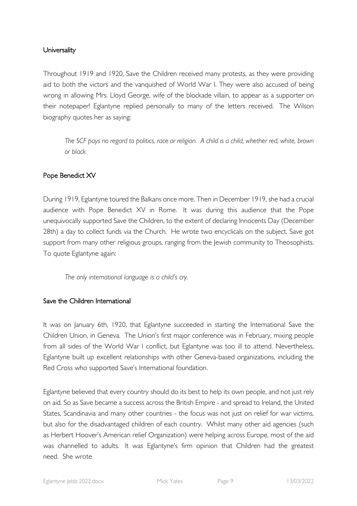## **Universality**

Throughout 1919 and 1920, Save the Children received many protests, as they were providing aid to both the victors and the vanquished of World War I. They were also accused of being wrong in allowing Mrs. Lloyd George, wife of the blockade villain, to appear as a supporter on their notepaper! Eglantyne replied personally to many of the letters received. The Wilson biography quotes her as saying:

*The SCF pays no regard to politics, race or religion. A child is a child, whether red, white, brown or black*

# Pope Benedict XV

During 1919, Eglantyne toured the Balkans once more. Then in December 1919, she had a crucial audience with Pope Benedict XV in Rome. It was during this audience that the Pope unequivocally supported Save the Children, to the extent of declaring Innocents Day (December 28th) a day to collect funds via the Church. He wrote two encyclicals on the subject. Save got support from many other religious groups, ranging from the Jewish community to Theosophists. To quote Eglantyne again:

*The only international language is a child's cry.*

## Save the Children International

It was on January 6th, 1920, that Eglantyne succeeded in starting the International Save the Children Union, in Geneva. The Union's first major conference was in February, mixing people from all sides of the World War I conflict, but Eglantyne was too ill to attend. Nevertheless, Eglantyne built up excellent relationships with other Geneva-based organizations, including the Red Cross who supported Save's International foundation.

Eglantyne believed that every country should do its best to help its own people, and not just rely on aid. So as Save became a success across the British Empire - and spread to Ireland, the United States, Scandinavia and many other countries - the focus was not just on relief for war victims, but also for the disadvantaged children of each country. Whilst many other aid agencies (such as Herbert Hoover's American relief Organization) were helping across Europe, most of the aid was channelled to adults. It was Eglantyne's firm opinion that Children had the greatest need. She wrote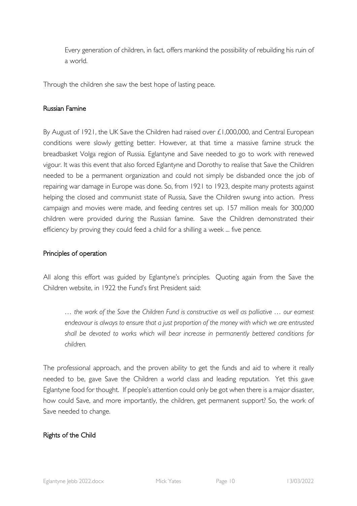Every generation of children, in fact, offers mankind the possibility of rebuilding his ruin of a world.

Through the children she saw the best hope of lasting peace.

#### Russian Famine

By August of 1921, the UK Save the Children had raised over £1,000,000, and Central European conditions were slowly getting better. However, at that time a massive famine struck the breadbasket Volga region of Russia. Eglantyne and Save needed to go to work with renewed vigour. It was this event that also forced Eglantyne and Dorothy to realise that Save the Children needed to be a permanent organization and could not simply be disbanded once the job of repairing war damage in Europe was done. So, from 1921 to 1923, despite many protests against helping the closed and communist state of Russia, Save the Children swung into action. Press campaign and movies were made, and feeding centres set up. 157 million meals for 300,000 children were provided during the Russian famine. Save the Children demonstrated their efficiency by proving they could feed a child for a shilling a week ... five pence.

## Principles of operation

All along this effort was guided by Eglantyne's principles. Quoting again from the Save the Children website, in 1922 the Fund's first President said:

*… the work of the Save the Children Fund is constructive as well as palliative … our earnest endeavour is always to ensure that a just proportion of the money with which we are entrusted shall be devoted to works which will bear increase in permanently bettered conditions for children.*

The professional approach, and the proven ability to get the funds and aid to where it really needed to be, gave Save the Children a world class and leading reputation. Yet this gave Eglantyne food for thought. If people's attention could only be got when there is a major disaster, how could Save, and more importantly, the children, get permanent support? So, the work of Save needed to change.

## Rights of the Child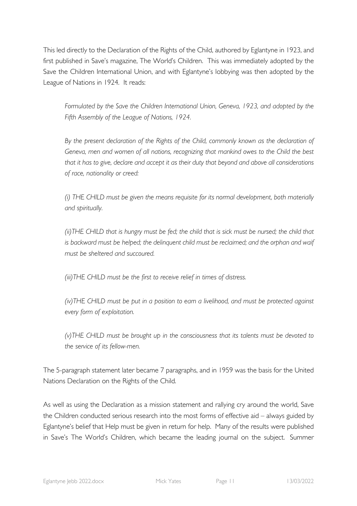This led directly to the Declaration of the Rights of the Child, authored by Eglantyne in 1923, and first published in Save's magazine, The World's Children. This was immediately adopted by the Save the Children International Union, and with Eglantyne's lobbying was then adopted by the League of Nations in 1924. It reads:

*Formulated by the Save the Children International Union, Geneva, 1923, and adopted by the Fifth Assembly of the League of Nations, 1924.* 

*By the present declaration of the Rights of the Child, commonly known as the declaration of Geneva, men and women of all nations, recognizing that mankind owes to the Child the best that it has to give, declare and accept it as their duty that beyond and above all considerations of race, nationality or creed:*

*(i) THE CHILD must be given the means requisite for its normal development, both materially and spiritually.*

*(ii)THE CHILD that is hungry must be fed; the child that is sick must be nursed; the child that is backward must be helped; the delinquent child must be reclaimed; and the orphan and waif must be sheltered and succoured.*

*(iii)THE CHILD must be the first to receive relief in times of distress.*

*(iv)THE CHILD must be put in a position to earn a livelihood, and must be protected against every form of exploitation.*

*(v)THE CHILD must be brought up in the consciousness that its talents must be devoted to the service of its fellow-men.*

The 5-paragraph statement later became 7 paragraphs, and in 1959 was the basis for the United Nations Declaration on the Rights of the Child.

As well as using the Declaration as a mission statement and rallying cry around the world, Save the Children conducted serious research into the most forms of effective aid – always guided by Eglantyne's belief that Help must be given in return for help. Many of the results were published in Save's The World's Children, which became the leading journal on the subject. Summer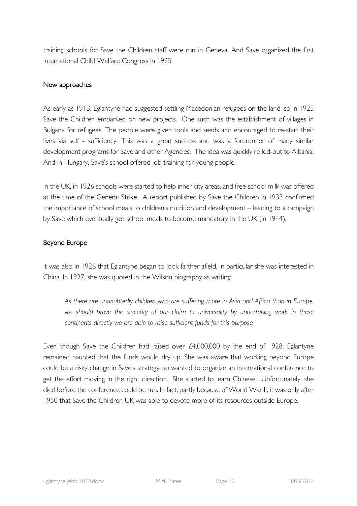training schools for Save the Children staff were run in Geneva. And Save organized the first International Child Welfare Congress in 1925.

## New approaches

As early as 1913, Eglantyne had suggested settling Macedonian refugees on the land, so in 1925 Save the Children embarked on new projects. One such was the establishment of villages in Bulgaria for refugees. The people were given tools and seeds and encouraged to re-start their lives via self - sufficiency. This was a great success and was a forerunner of many similar development programs for Save and other Agencies. The idea was quickly rolled-out to Albania. And in Hungary, Save's school offered job training for young people.

In the UK, in 1926 schools were started to help inner city areas, and free school milk was offered at the time of the General Strike. A report published by Save the Children in 1933 confirmed the importance of school meals to children's nutrition and development – leading to a campaign by Save which eventually got school meals to become mandatory in the UK (in 1944).

## Beyond Europe

It was also in 1926 that Eglantyne began to look farther afield. In particular she was interested in China. In 1927, she was quoted in the Wilson biography as writing:

*As there are undoubtedly children who are suffering more in Asia and Africa than in Europe, we should prove the sincerity of our claim to universality by undertaking work in these continents directly we are able to raise sufficient funds for this purpose*

Even though Save the Children had raised over £4,000,000 by the end of 1928, Eglantyne remained haunted that the funds would dry up. She was aware that working beyond Europe could be a risky change in Save's strategy, so wanted to organize an international conference to get the effort moving in the right direction. She started to learn Chinese. Unfortunately, she died before the conference could be run. In fact, partly because of World War II, it was only after 1950 that Save the Children UK was able to devote more of its resources outside Europe.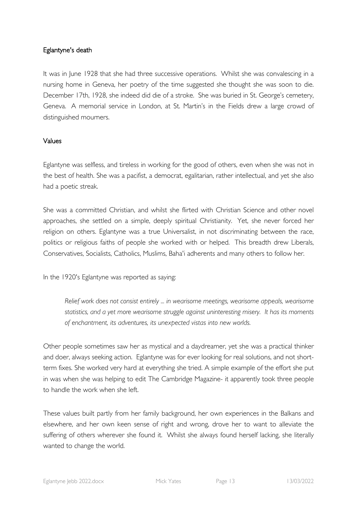## Eglantyne's death

It was in June 1928 that she had three successive operations. Whilst she was convalescing in a nursing home in Geneva, her poetry of the time suggested she thought she was soon to die. December 17th, 1928, she indeed did die of a stroke. She was buried in St. George's cemetery, Geneva. A memorial service in London, at St. Martin's in the Fields drew a large crowd of distinguished mourners.

## Values

Eglantyne was selfless, and tireless in working for the good of others, even when she was not in the best of health. She was a pacifist, a democrat, egalitarian, rather intellectual, and yet she also had a poetic streak.

She was a committed Christian, and whilst she flirted with Christian Science and other novel approaches, she settled on a simple, deeply spiritual Christianity. Yet, she never forced her religion on others. Eglantyne was a true Universalist, in not discriminating between the race, politics or religious faiths of people she worked with or helped. This breadth drew Liberals, Conservatives, Socialists, Catholics, Muslims, Baha'i adherents and many others to follow her.

In the 1920's Eglantyne was reported as saying:

*Relief work does not consist entirely ... in wearisome meetings, wearisome appeals, wearisome statistics, and a yet more wearisome struggle against uninteresting misery. It has its moments of enchantment, its adventures, its unexpected vistas into new worlds.*

Other people sometimes saw her as mystical and a daydreamer, yet she was a practical thinker and doer, always seeking action. Eglantyne was for ever looking for real solutions, and not shortterm fixes. She worked very hard at everything she tried. A simple example of the effort she put in was when she was helping to edit The Cambridge Magazine- it apparently took three people to handle the work when she left.

These values built partly from her family background, her own experiences in the Balkans and elsewhere, and her own keen sense of right and wrong, drove her to want to alleviate the suffering of others wherever she found it. Whilst she always found herself lacking, she literally wanted to change the world.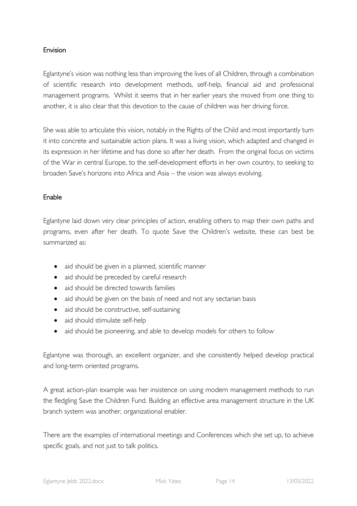#### Envision

Eglantyne's vision was nothing less than improving the lives of all Children, through a combination of scientific research into development methods, self-help, financial aid and professional management programs. Whilst it seems that in her earlier years she moved from one thing to another, it is also clear that this devotion to the cause of children was her driving force.

She was able to articulate this vision, notably in the Rights of the Child and most importantly turn it into concrete and sustainable action plans. It was a living vision, which adapted and changed in its expression in her lifetime and has done so after her death. From the original focus on victims of the War in central Europe, to the self-development efforts in her own country, to seeking to broaden Save's horizons into Africa and Asia – the vision was always evolving.

#### Enable

Eglantyne laid down very clear principles of action, enabling others to map their own paths and programs, even after her death. To quote Save the Children's website, these can best be summarized as:

- aid should be given in a planned, scientific manner
- aid should be preceded by careful research
- aid should be directed towards families
- aid should be given on the basis of need and not any sectarian basis
- aid should be constructive, self-sustaining
- aid should stimulate self-help
- aid should be pioneering, and able to develop models for others to follow

Eglantyne was thorough, an excellent organizer, and she consistently helped develop practical and long-term oriented programs.

A great action-plan example was her insistence on using modern management methods to run the fledgling Save the Children Fund. Building an effective area management structure in the UK branch system was another, organizational enabler.

There are the examples of international meetings and Conferences which she set up, to achieve specific goals, and not just to talk politics.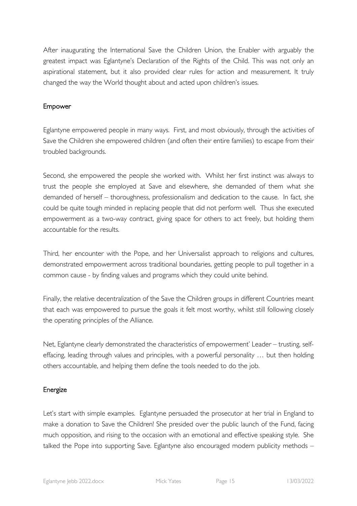After inaugurating the International Save the Children Union, the Enabler with arguably the greatest impact was Eglantyne's Declaration of the Rights of the Child. This was not only an aspirational statement, but it also provided clear rules for action and measurement. It truly changed the way the World thought about and acted upon children's issues.

## Empower

Eglantyne empowered people in many ways. First, and most obviously, through the activities of Save the Children she empowered children (and often their entire families) to escape from their troubled backgrounds.

Second, she empowered the people she worked with. Whilst her first instinct was always to trust the people she employed at Save and elsewhere, she demanded of them what she demanded of herself – thoroughness, professionalism and dedication to the cause. In fact, she could be quite tough minded in replacing people that did not perform well. Thus she executed empowerment as a two-way contract, giving space for others to act freely, but holding them accountable for the results.

Third, her encounter with the Pope, and her Universalist approach to religions and cultures, demonstrated empowerment across traditional boundaries, getting people to pull together in a common cause - by finding values and programs which they could unite behind.

Finally, the relative decentralization of the Save the Children groups in different Countries meant that each was empowered to pursue the goals it felt most worthy, whilst still following closely the operating principles of the Alliance.

Net, Eglantyne clearly demonstrated the characteristics of empowerment' Leader – trusting, selfeffacing, leading through values and principles, with a powerful personality … but then holding others accountable, and helping them define the tools needed to do the job.

## Energize

Let's start with simple examples. Eglantyne persuaded the prosecutor at her trial in England to make a donation to Save the Children! She presided over the public launch of the Fund, facing much opposition, and rising to the occasion with an emotional and effective speaking style. She talked the Pope into supporting Save. Eglantyne also encouraged modern publicity methods –